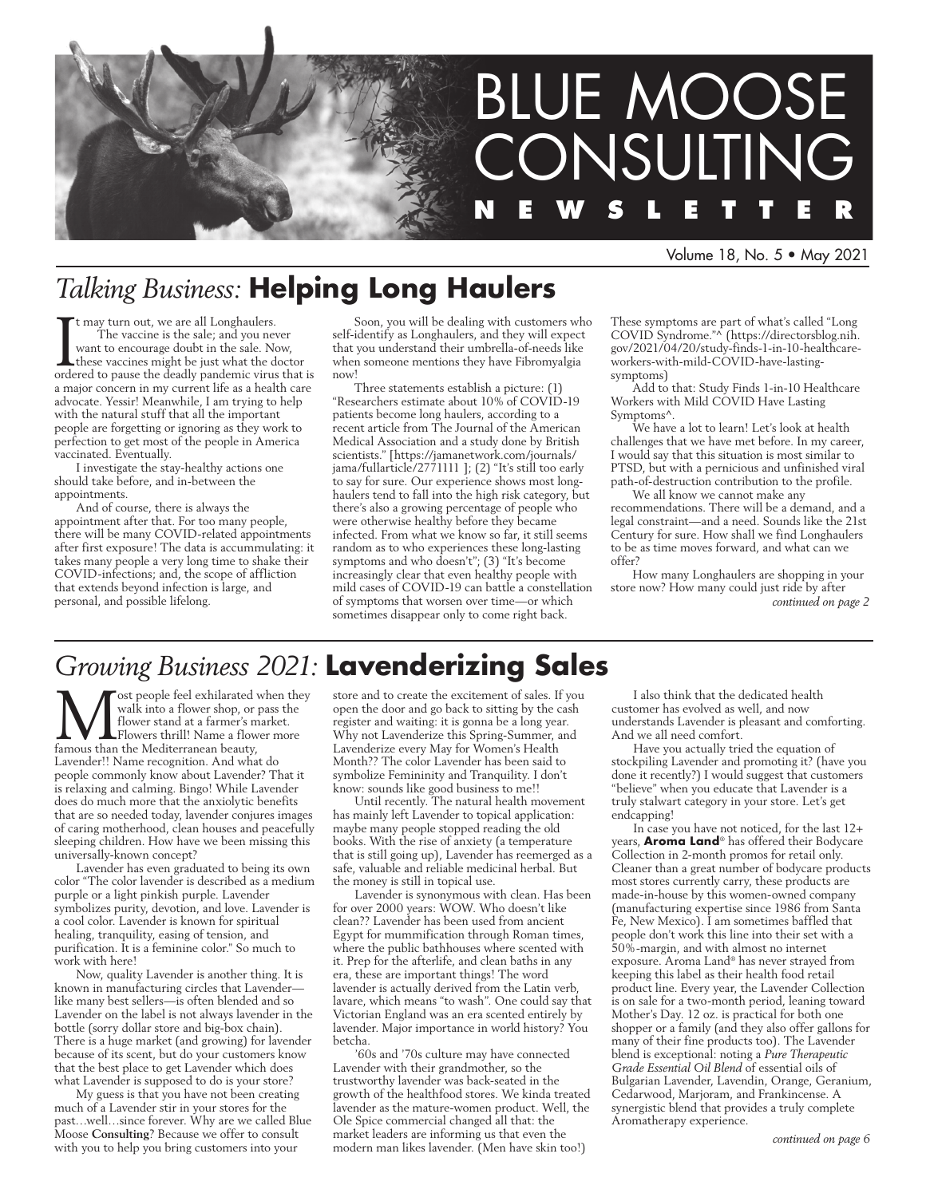

#### Volume 18, No. 5 • May 2021

# *Talking Business:* **Helping Long Haulers**

It may turn out, we are all Longhaulers.<br>The vaccine is the sale; and you never<br>want to encourage doubt in the sale. Now,<br>these vaccines might be just what the doctor<br>ordered to pause the deadly pandemic virus that is t may turn out, we are all Longhaulers. The vaccine is the sale; and you never want to encourage doubt in the sale. Now, these vaccines might be just what the doctor a major concern in my current life as a health care advocate. Yessir! Meanwhile, I am trying to help with the natural stuff that all the important people are forgetting or ignoring as they work to perfection to get most of the people in America vaccinated. Eventually.

I investigate the stay-healthy actions one should take before, and in-between the appointments.

And of course, there is always the appointment after that. For too many people, there will be many COVID-related appointments after first exposure! The data is accummulating: it takes many people a very long time to shake their COVID-infections; and, the scope of affliction that extends beyond infection is large, and personal, and possible lifelong.

Soon, you will be dealing with customers who self-identify as Longhaulers, and they will expect that you understand their umbrella-of-needs like when someone mentions they have Fibromyalgia now!

Three statements establish a picture: (1) "Researchers estimate about 10% of COVID-19 patients become long haulers, according to a recent article from The Journal of the American Medical Association and a study done by British scientists." [https://jamanetwork.com/journals/ jama/fullarticle/2771111 ]; (2) "It's still too early to say for sure. Our experience shows most longhaulers tend to fall into the high risk category, but there's also a growing percentage of people who were otherwise healthy before they became infected. From what we know so far, it still seems random as to who experiences these long-lasting symptoms and who doesn't"; (3) "It's become increasingly clear that even healthy people with mild cases of COVID-19 can battle a constellation of symptoms that worsen over time—or which sometimes disappear only to come right back.

These symptoms are part of what's called "Long COVID Syndrome."^ (https://directorsblog.nih. gov/2021/04/20/study-finds-1-in-10-healthcareworkers-with-mild-COVID-have-lastingsymptoms)

Add to that: Study Finds 1-in-10 Healthcare Workers with Mild COVID Have Lasting Symptoms^.

We have a lot to learn! Let's look at health challenges that we have met before. In my career, I would say that this situation is most similar to PTSD, but with a pernicious and unfinished viral path-of-destruction contribution to the profile.

We all know we cannot make any recommendations. There will be a demand, and a legal constraint—and a need. Sounds like the 21st Century for sure. How shall we find Longhaulers to be as time moves forward, and what can we offer?

How many Longhaulers are shopping in your store now? How many could just ride by after *continued on page 2*

# *Growing Business 2021:* **Lavenderizing Sales**

ost people feel exhilarated when they walk into a flower shop, or pass the flower stand at a farmer's market. Flowers thrill! Name a flower more famous than the Mediterranean beauty, Lavender!! Name recognition. And what do people commonly know about Lavender? That it is relaxing and calming. Bingo! While Lavender does do much more that the anxiolytic benefits that are so needed today, lavender conjures images of caring motherhood, clean houses and peacefully sleeping children. How have we been missing this universally-known concept?

Lavender has even graduated to being its own color "The color lavender is described as a medium purple or a light pinkish purple. Lavender symbolizes purity, devotion, and love. Lavender is a cool color. Lavender is known for spiritual healing, tranquility, easing of tension, and purification. It is a feminine color." So much to work with here!

Now, quality Lavender is another thing. It is known in manufacturing circles that Lavender like many best sellers—is often blended and so Lavender on the label is not always lavender in the bottle (sorry dollar store and big-box chain). There is a huge market (and growing) for lavender because of its scent, but do your customers know that the best place to get Lavender which does what Lavender is supposed to do is your store?

My guess is that you have not been creating much of a Lavender stir in your stores for the past…well…since forever. Why are we called Blue Moose **Consulting**? Because we offer to consult with you to help you bring customers into your

store and to create the excitement of sales. If you open the door and go back to sitting by the cash register and waiting: it is gonna be a long year. Why not Lavenderize this Spring-Summer, and Lavenderize every May for Women's Health Month?? The color Lavender has been said to symbolize Femininity and Tranquility. I don't know: sounds like good business to me!!

Until recently. The natural health movement has mainly left Lavender to topical application: maybe many people stopped reading the old books. With the rise of anxiety (a temperature that is still going up), Lavender has reemerged as a safe, valuable and reliable medicinal herbal. But the money is still in topical use.

Lavender is synonymous with clean. Has been for over 2000 years: WOW. Who doesn't like clean?? Lavender has been used from ancient Egypt for mummification through Roman times, where the public bathhouses where scented with it. Prep for the afterlife, and clean baths in any era, these are important things! The word lavender is actually derived from the Latin verb, lavare, which means "to wash". One could say that Victorian England was an era scented entirely by lavender. Major importance in world history? You betcha.

'60s and '70s culture may have connected Lavender with their grandmother, so the trustworthy lavender was back-seated in the growth of the healthfood stores. We kinda treated lavender as the mature-women product. Well, the Ole Spice commercial changed all that: the market leaders are informing us that even the modern man likes lavender. (Men have skin too!)

I also think that the dedicated health customer has evolved as well, and now understands Lavender is pleasant and comforting. And we all need comfort.

Have you actually tried the equation of stockpiling Lavender and promoting it? (have you done it recently?) I would suggest that customers "believe" when you educate that Lavender is a truly stalwart category in your store. Let's get endcapping!

In case you have not noticed, for the last 12+ years, **Aroma Land**® has offered their Bodycare Collection in 2-month promos for retail only. Cleaner than a great number of bodycare products most stores currently carry, these products are made-in-house by this women-owned company (manufacturing expertise since 1986 from Santa Fe, New Mexico). I am sometimes baffled that people don't work this line into their set with a 50%-margin, and with almost no internet exposure. Aroma Land® has never strayed from keeping this label as their health food retail product line. Every year, the Lavender Collection is on sale for a two-month period, leaning toward Mother's Day. 12 oz. is practical for both one shopper or a family (and they also offer gallons for many of their fine products too). The Lavender blend is exceptional: noting a *Pure Therapeutic Grade Essential Oil Blend* of essential oils of Bulgarian Lavender, Lavendin, Orange, Geranium, Cedarwood, Marjoram, and Frankincense. A synergistic blend that provides a truly complete Aromatherapy experience.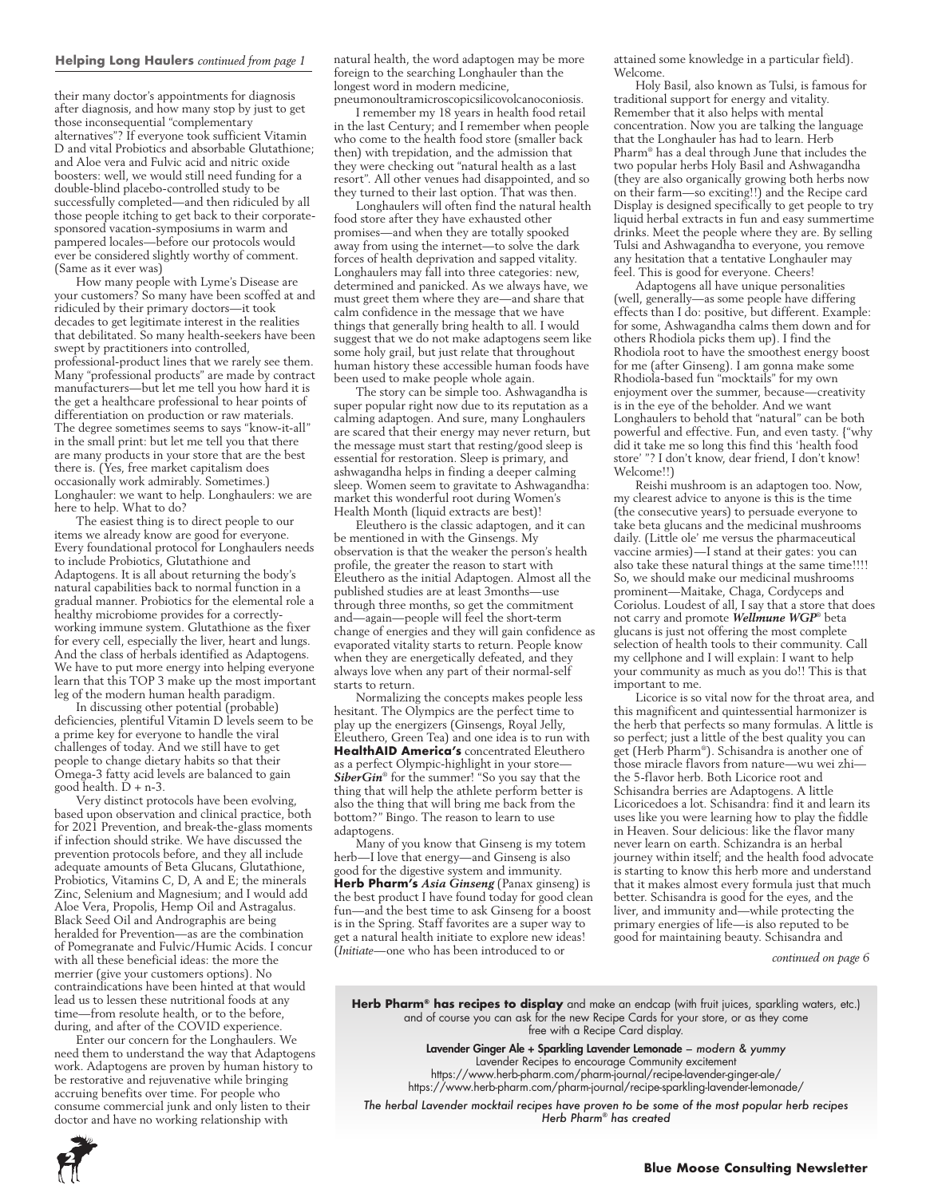#### **Helping Long Haulers** *continued from page 1*

their many doctor's appointments for diagnosis after diagnosis, and how many stop by just to get those inconsequential "complementary alternatives"? If everyone took sufficient Vitamin D and vital Probiotics and absorbable Glutathione; and Aloe vera and Fulvic acid and nitric oxide boosters: well, we would still need funding for a double-blind placebo-controlled study to be successfully completed—and then ridiculed by all those people itching to get back to their corporatesponsored vacation-symposiums in warm and pampered locales—before our protocols would ever be considered slightly worthy of comment. (Same as it ever was)

How many people with Lyme's Disease are your customers? So many have been scoffed at and ridiculed by their primary doctors—it took decades to get legitimate interest in the realities that debilitated. So many health-seekers have been swept by practitioners into controlled, professional-product lines that we rarely see them. Many "professional products" are made by contract manufacturers—but let me tell you how hard it is the get a healthcare professional to hear points of differentiation on production or raw materials. The degree sometimes seems to says "know-it-all" in the small print: but let me tell you that there are many products in your store that are the best there is. (Yes, free market capitalism does occasionally work admirably. Sometimes.) Longhauler: we want to help. Longhaulers: we are here to help. What to do?

The easiest thing is to direct people to our items we already know are good for everyone. Every foundational protocol for Longhaulers needs to include Probiotics, Glutathione and Adaptogens. It is all about returning the body's natural capabilities back to normal function in a gradual manner. Probiotics for the elemental role a healthy microbiome provides for a correctlyworking immune system. Glutathione as the fixer for every cell, especially the liver, heart and lungs. And the class of herbals identified as Adaptogens. We have to put more energy into helping everyone learn that this TOP 3 make up the most important leg of the modern human health paradigm.

In discussing other potential (probable) deficiencies, plentiful Vitamin D levels seem to be a prime key for everyone to handle the viral challenges of today. And we still have to get people to change dietary habits so that their Omega-3 fatty acid levels are balanced to gain good health. D + n-3.

Very distinct protocols have been evolving, based upon observation and clinical practice, both for 2021 Prevention, and break-the-glass moments if infection should strike. We have discussed the prevention protocols before, and they all include adequate amounts of Beta Glucans, Glutathione, Probiotics, Vitamins C, D, A and E; the minerals Zinc, Selenium and Magnesium; and I would add Aloe Vera, Propolis, Hemp Oil and Astragalus. Black Seed Oil and Andrographis are being heralded for Prevention—as are the combination of Pomegranate and Fulvic/Humic Acids. I concur with all these beneficial ideas: the more the merrier (give your customers options). No contraindications have been hinted at that would lead us to lessen these nutritional foods at any time—from resolute health, or to the before, during, and after of the COVID experience.

Enter our concern for the Longhaulers. We need them to understand the way that Adaptogens work. Adaptogens are proven by human history to be restorative and rejuvenative while bringing accruing benefits over time. For people who consume commercial junk and only listen to their doctor and have no working relationship with

natural health, the word adaptogen may be more foreign to the searching Longhauler than the longest word in modern medicine, pneumonoultramicroscopicsilicovolcanoconiosis.

I remember my 18 years in health food retail in the last Century; and I remember when people who come to the health food store (smaller back then) with trepidation, and the admission that they were checking out "natural health as a last resort". All other venues had disappointed, and so they turned to their last option. That was then.

Longhaulers will often find the natural health food store after they have exhausted other promises—and when they are totally spooked away from using the internet—to solve the dark forces of health deprivation and sapped vitality. Longhaulers may fall into three categories: new, determined and panicked. As we always have, we must greet them where they are—and share that calm confidence in the message that we have things that generally bring health to all. I would suggest that we do not make adaptogens seem like some holy grail, but just relate that throughout human history these accessible human foods have been used to make people whole again.

The story can be simple too. Ashwagandha is super popular right now due to its reputation as a calming adaptogen. And sure, many Longhaulers are scared that their energy may never return, but the message must start that resting/good sleep is essential for restoration. Sleep is primary, and ashwagandha helps in finding a deeper calming sleep. Women seem to gravitate to Ashwagandha: market this wonderful root during Women's Health Month (liquid extracts are best)!

Eleuthero is the classic adaptogen, and it can be mentioned in with the Ginsengs. My observation is that the weaker the person's health profile, the greater the reason to start with Eleuthero as the initial Adaptogen. Almost all the published studies are at least 3months—use through three months, so get the commitment and—again—people will feel the short-term change of energies and they will gain confidence as evaporated vitality starts to return. People know when they are energetically defeated, and they always love when any part of their normal-self starts to return.

Normalizing the concepts makes people less hesitant. The Olympics are the perfect time to play up the energizers (Ginsengs, Royal Jelly, Eleuthero, Green Tea) and one idea is to run with **HealthAID America's** concentrated Eleuthero as a perfect Olympic-highlight in your store— *SiberGin*® for the summer! "So you say that the thing that will help the athlete perform better is also the thing that will bring me back from the bottom?" Bingo. The reason to learn to use adaptogens.

Many of you know that Ginseng is my totem herb—I love that energy—and Ginseng is also good for the digestive system and immunity. **Herb Pharm's** *Asia Ginseng* (Panax ginseng) is the best product I have found today for good clean fun—and the best time to ask Ginseng for a boost is in the Spring. Staff favorites are a super way to get a natural health initiate to explore new ideas! (*Initiate*—one who has been introduced to or

attained some knowledge in a particular field). Welcome.

Holy Basil, also known as Tulsi, is famous for traditional support for energy and vitality. Remember that it also helps with mental concentration. Now you are talking the language that the Longhauler has had to learn. Herb Pharm® has a deal through June that includes the two popular herbs Holy Basil and Ashwagandha (they are also organically growing both herbs now on their farm—so exciting!!) and the Recipe card Display is designed specifically to get people to try liquid herbal extracts in fun and easy summertime drinks. Meet the people where they are. By selling Tulsi and Ashwagandha to everyone, you remove any hesitation that a tentative Longhauler may feel. This is good for everyone. Cheers!

Adaptogens all have unique personalities (well, generally—as some people have differing effects than I do: positive, but different. Example: for some, Ashwagandha calms them down and for others Rhodiola picks them up). I find the Rhodiola root to have the smoothest energy boost for me (after Ginseng). I am gonna make some Rhodiola-based fun "mocktails" for my own enjoyment over the summer, because—creativity is in the eye of the beholder. And we want Longhaulers to behold that "natural" can be both powerful and effective. Fun, and even tasty. {"why did it take me so long this find this 'health food store' "? I don't know, dear friend, I don't know! Welcome!!)

Reishi mushroom is an adaptogen too. Now, my clearest advice to anyone is this is the time (the consecutive years) to persuade everyone to take beta glucans and the medicinal mushrooms daily. (Little ole' me versus the pharmaceutical vaccine armies)—I stand at their gates: you can also take these natural things at the same time!!!! So, we should make our medicinal mushrooms prominent—Maitake, Chaga, Cordyceps and Coriolus. Loudest of all, I say that a store that does not carry and promote *Wellmune WGP*® beta glucans is just not offering the most complete selection of health tools to their community. Call my cellphone and I will explain: I want to help your community as much as you do!! This is that important to me.

Licorice is so vital now for the throat area, and this magnificent and quintessential harmonizer is the herb that perfects so many formulas. A little is so perfect; just a little of the best quality you can get (Herb Pharm®). Schisandra is another one of those miracle flavors from nature—wu wei zhi the 5-flavor herb. Both Licorice root and Schisandra berries are Adaptogens. A little Licoricedoes a lot. Schisandra: find it and learn its uses like you were learning how to play the fiddle in Heaven. Sour delicious: like the flavor many never learn on earth. Schizandra is an herbal journey within itself; and the health food advocate is starting to know this herb more and understand that it makes almost every formula just that much better. Schisandra is good for the eyes, and the liver, and immunity and—while protecting the primary energies of life—is also reputed to be good for maintaining beauty. Schisandra and

*continued on page 6*

**Herb Pharm® has recipes to display** and make an endcap (with fruit juices, sparkling waters, etc.) and of course you can ask for the new Recipe Cards for your store, or as they come free with a Recipe Card display.

> Lavender Ginger Ale + Sparkling Lavender Lemonade *– modern & yummy* Lavender Recipes to encourage Community excitement https://www.herb-pharm.com/pharm-journal/recipe-lavender-ginger-ale/

https://www.herb-pharm.com/pharm-journal/recipe-sparkling-lavender-lemonade/ *The herbal Lavender mocktail recipes have proven to be some of the most popular herb recipes* 

*Herb Pharm® has created*

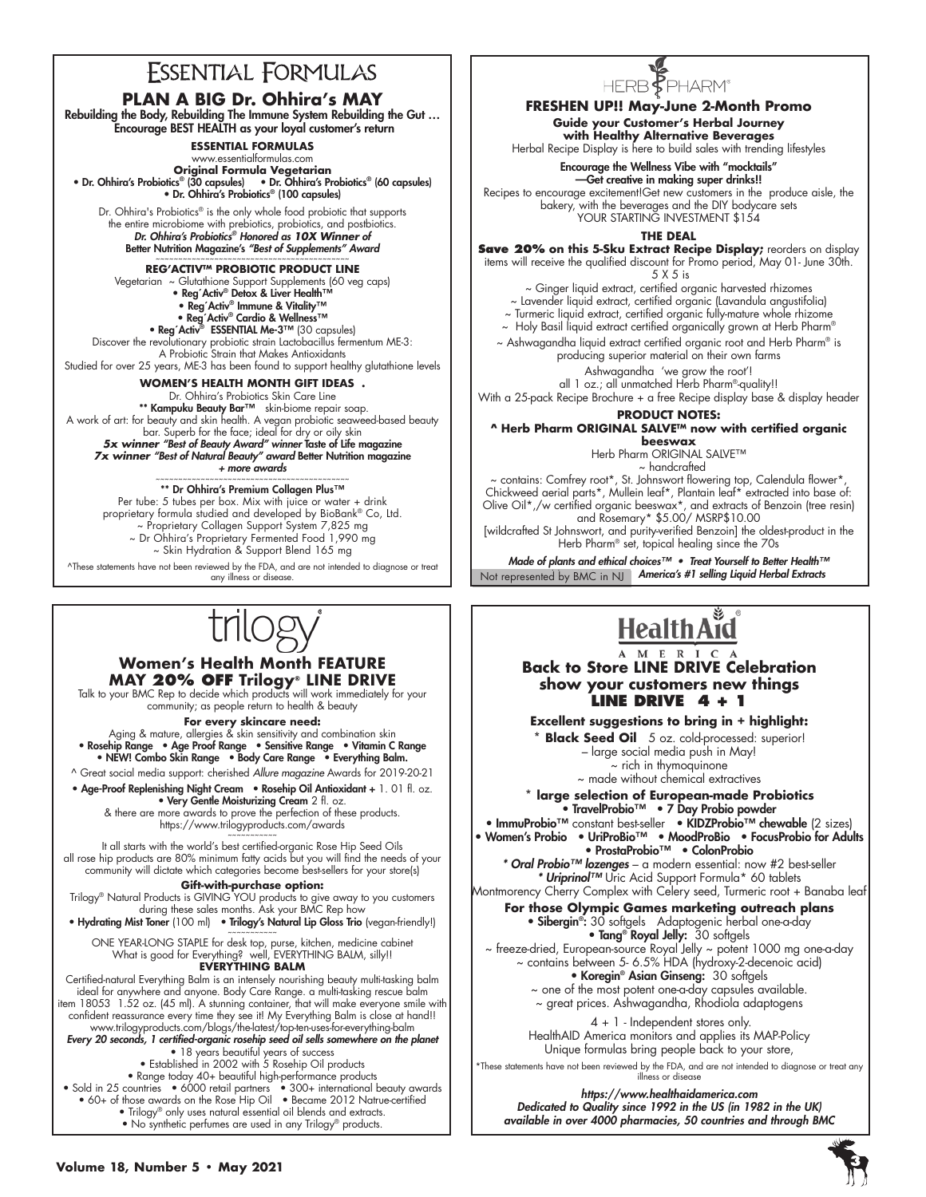### **FSSENTIAL FORMULAS**

### **PLAN A BIG Dr. Ohhira's MAY**

Rebuilding the Body, Rebuilding The Immune System Rebuilding the Gut … Encourage BEST HEALTH as your loyal customer's return

**ESSENTIAL FORMULAS** 

www.essentialformulas.com

**Original Formula Vegetarian<br>• Dr. Ohhira's Probiotics® (30 capsules) • Dr. Ohhira's Probiotics® (60 capsules)<br>• Dr. Ohhira's Probiotics® (100 capsules)** 

Dr. Ohhira's Probiotics® is the only whole food probiotic that supports the entire microbiome with prebiotics, probiotics, and postbiotics. *Dr. Ohhira's Probiotics® Honored as 10X Winner of*  Better Nutrition Magazine's *"Best of Supplements" Award*

### ~~~~~~~~~~~~~~~~~~~~~~~~~~~~~~~~~~~~~~~~~~~ **REG'ACTIV™ PROBIOTIC PRODUCT LINE**

Vegetarian ~ Glutathione Support Supplements (60 veg caps)<br>• Reg´Activ® Detox & Liver Health™<br>• Reg´Activ® Immune & Vitality™

• Reg´Activ® Cardio & Wellness™

• Reg'Activ<sup>®</sup> ESSENTIAL Me-3™ (30 capsules) Discover the revolutionary probiotic strain Lactobacillus fermentum ME-3:

A Probiotic Strain that Makes Antioxidants Studied for over 25 years, ME-3 has been found to support healthy glutathione levels

**WOMEN'S HEALTH MONTH GIFT IDEAS .**

Dr. Ohhira's Probiotics Skin Care Line<br>•**\* Kampuku Beauty Bar™** skin-biome repair soap.

A work of art: for beauty and skin health. A vegan probiotic seaweed-based beauty bar. Superb for the face; ideal for dry or oily skin *5x winner "Best of Beauty Award" winner* Taste of Life magazine

*7x winner "Best of Natural Beauty" award* Better Nutrition magazine *+ more awards*

### ~~~~~~~~~~~~~~~~~~~~~~~~~~~~~~~~~~~~~~~~~~~ \*\* Dr Ohhira's Premium Collagen Plus™

Per tube: 5 tubes per box. Mix with juice or water + drink proprietary formula studied and developed by BioBank® Co, Ltd. ~ Proprietary Collagen Support System 7,825 mg ~ Dr Ohhira's Proprietary Fermented Food 1,990 mg ~ Skin Hydration & Support Blend 165 mg

^These statements have not been reviewed by the FDA, and are not intended to diagnose or treat any illness or disease.

#### **Women's Health Month FEATURE MAY 20% OFF Trilogy® LINE DRIVE**

Talk to your BMC Rep to decide which products will work immediately for your community; as people return to health & beauty

**For every skincare need:** Aging & mature, allergies & skin sensitivity and combination skin • Rosehip Range • Age Proof Range • Sensitive Range • Vitamin C Range

• NEW! Combo Skin Range • Body Care Range • Everything Balm. ^ Great social media support: cherished *Allure magazine* Awards for 2019-20-21

• Age-Proof Replenishing Night Cream • Rosehip Oil Antioxidant + 1. 01 fl. oz. • Very Gentle Moisturizing Cream 2 fl. oz.

& there are more awards to prove the perfection of these products. https://www.trilogyproducts.com/awards

~~~~~~~~~~~ It all starts with the world's best certified-organic Rose Hip Seed Oils all rose hip products are 80% minimum fatty acids but you will find the needs of your community will dictate which categories become best-sellers for your store(s)

#### **Gift-with-purchase option:**

Trilogy® Natural Products is GIVING YOU products to give away to you customers during these sales months. Ask your BMC Rep how • Hydrating Mist Toner (100 ml) • Trilogy's Natural Lip Gloss Trio (vegan-friendly!)

~~~~~~~~~~~ ONE YEAR-LONG STAPLE for desk top, purse, kitchen, medicine cabinet

What is good for Everything? well, EVERYTHING BALM, silly!! **EVERYTHING BALM**

Certified-natural Everything Balm is an intensely nourishing beauty multi-tasking balm ideal for anywhere and anyone. Body Care Range. a multi-tasking rescue balm item 18053 1.52 oz. (45 ml). A stunning container, that will make everyone smile with confident reassurance every time they see it! My Everything Balm is close at hand!! www.trilogyproducts.com/blogs/the-latest/top-ten-uses-for-everything-balm

*Every 20 seconds, 1 certified-organic rosehip seed oil sells somewhere on the planet* • 18 years beautiful years of success

• Established in 2002 with 5 Rosehip Oil products

• Range today 40+ beautiful high-performance products

• Sold in 25 countries • 6000 retail partners • 300+ international beauty awards • 60+ of those awards on the Rose Hip Oil • Became 2012 Natrue-certified

• Trilogy® only uses natural essential oil blends and extracts. • No synthetic perfumes are used in any Trilogy® products.

# HERB<sup>F</sup>PHARM®

#### **FRESHEN UP!! May-June 2-Month Promo**

**Guide your Customer's Herbal Journey with Healthy Alternative Beverages**

Herbal Recipe Display is here to build sales with trending lifestyles

#### Encourage the Wellness Vibe with "mocktails" —Get creative in making super drinks!!

Recipes to encourage excitement!Get new customers in the produce aisle, the bakery, with the beverages and the DIY bodycare sets YOUR STARTING INVESTMENT \$154

**THE DEAL**

**Save 20% on this 5-Sku Extract Recipe Display;** reorders on display items will receive the qualified discount for Promo period, May 01- June 30th.

5 X 5 is

~ Ginger liquid extract, certified organic harvested rhizomes ~ Lavender liquid extract, certified organic (Lavandula angustifolia)

~ Turmeric liquid extract, certified organic fully-mature whole rhizome

 $\sim$  Holy Basil liquid extract certified organically grown at Herb Pharm® ~ Ashwagandha liquid extract certified organic root and Herb Pharm® is

producing superior material on their own farms

Ashwagandha 'we grow the root'!

all 1 oz.; all unmatched Herb Pharm®-quality!! With a 25-pack Recipe Brochure + a free Recipe display base & display header

**PRODUCT NOTES:**

#### **^ Herb Pharm ORIGINAL SALVE™ now with certified organic beeswax**

Herb Pharm ORIGINAL SALVE™

~ handcrafted

~ contains: Comfrey root\*, St. Johnswort flowering top, Calendula flower\*, Chickweed aerial parts\*, Mullein leaf\*, Plantain leaf\* extracted into base of: Olive Oil\*,/w certified organic beeswax\*, and extracts of Benzoin (tree resin) and Rosemary\* \$5.00/ MSRP\$10.00

[wildcrafted St Johnswort, and purity-verified Benzoin] the oldest-product in the Herb Pharm® set, topical healing since the 70s

Not represented by BMC in NJ **America's #1 selling Liquid Herbal Extracts** *Made of plants and ethical choices™ • Treat Yourself to Better Health™*



**Back to Store LINE DRIVE Celebration show your customers new things LINE DRIVE 4 + 1**

**Excellent suggestions to bring in + highlight:**

**\* Black Seed Oil** 5 oz. cold-processed: superior! – large social media push in May! ~ rich in thymoquinone

~ made without chemical extractives

**\* large selection of European-made Probiotics** • TravelProbio™ • 7 Day Probio powder

• ImmuProbio™ constant best-seller • KIDZProbio™ chewable (2 sizes) • Women's Probio • UriProBio™ • MoodProBio • FocusProbio for Adults • ProstaProbio™ • ColonProbio

*\* Oral Probio™ lozenges* – a modern essential: now #2 best-seller *Uriprinol™* Uric Acid Support Formula\* 60 tablets

Montmorency Cherry Complex with Celery seed, Turmeric root + Banaba leaf

**For those Olympic Games marketing outreach plans** • Sibergin®: 30 softgels Adaptogenic herbal one-a-day • Tang<sup>®</sup> Royal Jelly: 30 softgels

~ freeze-dried, European-source Royal Jelly ~ potent 1000 mg one-a-day ~ contains between 5- 6.5% HDA (hydroxy-2-decenoic acid) • Koregin<sup>®</sup> Asian Ginseng: 30 softgels

~ one of the most potent one-a-day capsules available. ~ great prices. Ashwagandha, Rhodiola adaptogens

 4 + 1 - Independent stores only. HealthAID America monitors and applies its MAP-Policy Unique formulas bring people back to your store,

\*These statements have not been reviewed by the FDA, and are not intended to diagnose or treat any illness or disease

*https://www.healthaidamerica.com Dedicated to Quality since 1992 in the US (in 1982 in the UK) available in over 4000 pharmacies, 50 countries and through BMC*

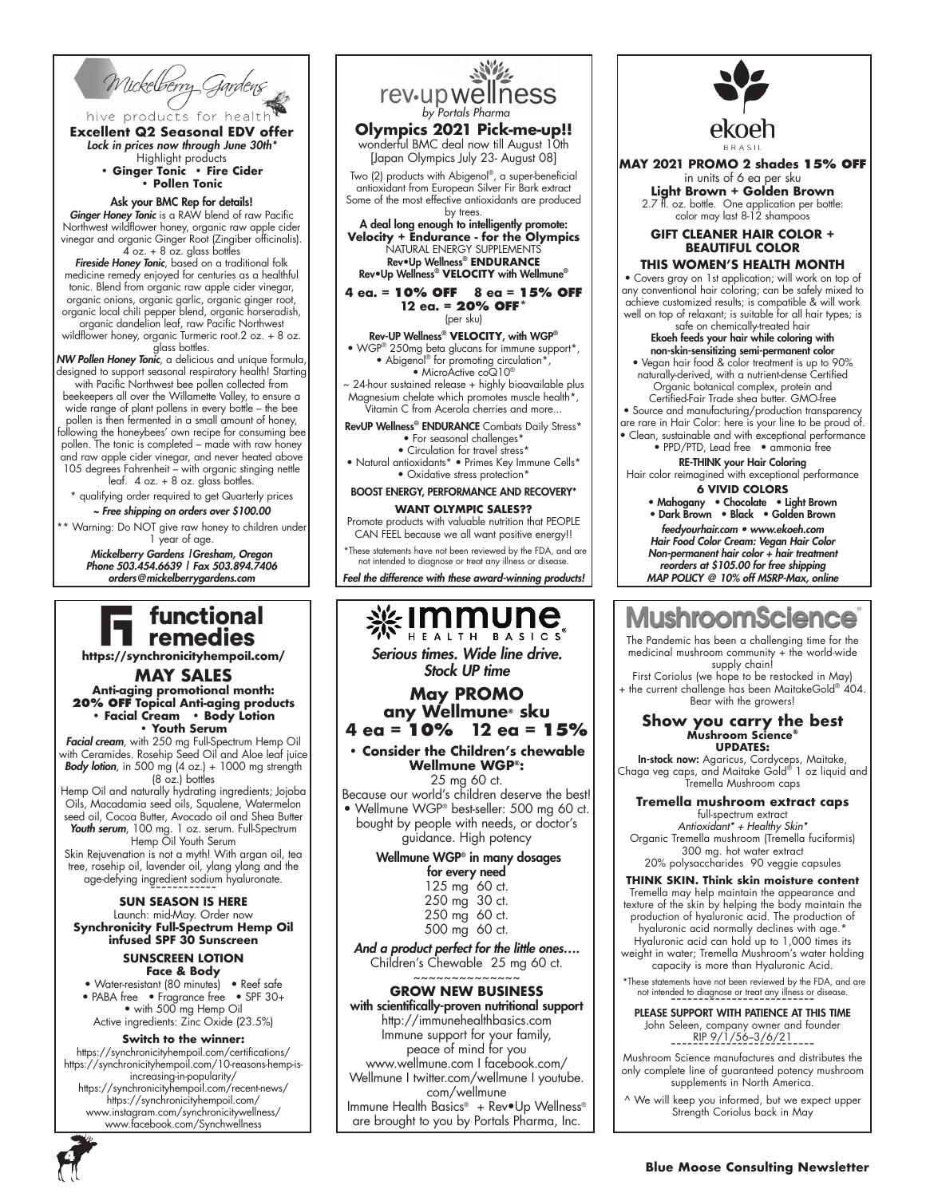Wickelberry Gardens

hive products for health **Excellent Q2 Seasonal EDV offer** *Lock in prices now through June 30th\**

Highlight products **• Ginger Tonic • Fire Cider • Pollen Tonic**

#### Ask your BMC Rep for details!

*Ginger Honey Tonic* is a RAW blend of raw Pacific Northwest wildflower honey, organic raw apple cider vinegar and organic Ginger Root (Zingiber officinalis). 4 oz. + 8 oz. glass bottles

*Fireside Honey Tonic*, based on a traditional folk medicine remedy enjoyed for centuries as a healthful tonic. Blend from organic raw apple cider vinegar, organic onions, organic garlic, organic ginger root, organic local chili pepper blend, organic horseradish, organic dandelion leaf, raw Pacific Northwest

wildflower honey, organic Turmeric root.2 oz. + 8 oz. glass bottles.

*NW Pollen Honey Tonic*, a delicious and unique formula, designed to support seasonal respiratory health! Starting with Pacific Northwest bee pollen collected from beekeepers all over the Willamette Valley, to ensure a wide range of plant pollens in every bottle – the bee pollen is then fermented in a small amount of honey, following the honeybees' own recipe for consuming bee pollen. The tonic is completed – made with raw honey and raw apple cider vinegar, and never heated above

105 degrees Fahrenheit – with organic stinging nettle leaf.  $4$  oz.  $+$  8 oz. glass bottles. ty qualifying order required to get Quarterly prices

*~ Free shipping on orders over \$100.00* Warning: Do NOT give raw honey to children under 1 year of age.

*Mickelberry Gardens |Gresham, Oregon Phone 503.454.6639 | Fax 503.894.7406 orders@mickelberrygardens.com*

### functional remedies

**https://synchronicityhempoil.com/**

**MAY SALES Anti-aging promotional month: 20% OFF Topical Anti-aging products • Facial Cream • Body Lotion • Youth Serum**

*Facial cream*, with 250 mg Full-Spectrum Hemp Oil with Ceramides. Rosehip Seed Oil and Aloe leaf juice *Body lotion*, in 500 mg (4 oz.) + 1000 mg strength  $(8 \overline{o}z)$  bottles

Hemp Oil and naturally hydrating ingredients; Jojoba Oils, Macadamia seed oils, Squalene, Watermelon seed oil, Cocoa Butter, Avocado oil and Shea Butter *Youth serum*, 100 mg. 1 oz. serum. Full-Spectrum Hemp Oil Youth Serum

Skin Rejuvenation is not a myth! With argan oil, tea tree, rosehip oil, lavender oil, ylang ylang and the age-defying ingredient sodium hyaluronate.

### **~~~~~~~~~~~~ SUN SEASON IS HERE**

Launch: mid-May. Order now **Synchronicity Full-Spectrum Hemp Oil infused SPF 30 Sunscreen** 

#### **SUNSCREEN LOTION Face & Body**

• Water-resistant (80 minutes) • Reef safe • PABA free • Fragrance free • SPF 30+ • with 500 mg Hemp Oil Active ingredients: Zinc Oxide (23.5%)

#### **Switch to the winner:**

https://synchronicityhempoil.com/certifications/ https://synchronicityhempoil.com/10-reasons-hemp-isincreasing-in-popularity/ https://synchronicityhempoil.com/recent-news/ https://synchronicityhempoil.com/ www.instagram.com/synchronicitywellness/ www.facebook.com/Synchwellness



*Feel the difference with these award-winning products!*



Immune support for your family, peace of mind for you www.wellmune.com I facebook.com/ Wellmune I twitter.com/wellmune I youtube. com/wellmune Immune Health Basics® + Rev•Up Wellness® are brought to you by Portals Pharma, Inc.



**MAY 2021 PROMO 2 shades 15% OFF**  in units of 6 ea per sku

**Light Brown + Golden Brown** 2.7 fl. oz. bottle. One application per bottle: color may last 8-12 shampoos

#### **GIFT CLEANER HAIR COLOR + BEAUTIFUL COLOR**

#### **THIS WOMEN'S HEALTH MONTH**

• Covers gray on 1st application; will work on top of any conventional hair coloring; can be safely mixed to achieve customized results; is compatible & will work well on top of relaxant; is suitable for all hair types; is safe on chemically-treated hair

#### Ekoeh feeds your hair while coloring with non-skin-sensitizing semi-permanent color

• Vegan hair food & color treatment is up to 90% naturally-derived, with a nutrient-dense Certified Organic botanical complex, protein and Certified-Fair Trade shea butter. GMO-free

• Source and manufacturing/production transparency are rare in Hair Color: here is your line to be proud of. • Clean, sustainable and with exceptional performance • PPD/PTD, Lead free • ammonia free

#### RE-THINK your Hair Coloring Hair color reimagined with exceptional performance

**6 VIVID COLORS**

• Mahogany • Chocolate • Light Brown • Dark Brown • Black • Golden Brown

*feedyourhair.com • www.ekoeh.com Hair Food Color Cream: Vegan Hair Color Non-permanent hair color + hair treatment reorders at \$105.00 for free shipping MAP POLICY @ 10% off MSRP-Max, online*

#### **Viushroomscienc** t e

The Pandemic has been a challenging time for the medicinal mushroom community + the world-wide supply chain!

First Coriolus (we hope to be restocked in May)  $+$  the current challenge has been MaitakeGold®  $404$ Bear with the growers!

### **Show you carry the best Mushroom Science® UPDATES:**

**In-stock now:** Agaricus, Cordyceps, Maitake,<br>Chaga veg caps, and Maitake Gold® 1 oz liquid and Tremella Mushroom caps

#### **Tremella mushroom extract caps**

full-spectrum extract *Antioxidant\* + Healthy Skin\** Organic Tremella mushroom (Tremella fuciformis) 300 mg. hot water extract 20% polysaccharides 90 veggie capsules

#### **THINK SKIN. Think skin moisture content**

Tremella may help maintain the appearance and texture of the skin by helping the body maintain the production of hyaluronic acid. The production of hyaluronic acid normally declines with age.\* Hyaluronic acid can hold up to 1,000 times its weight in water; Tremella Mushroom's water holding

capacity is more than Hyaluronic Acid.

 \*These statements have not been reviewed by the FDA, and are not intended to diagnose or treat any illness or disease. **~~~~~~~~~~~~~~~~~~~~~~~~~~**

PLEASE SUPPORT WITH PATIENCE AT THIS TIME John Seleen, company owner and founder  $RIP 9/1/56-3/6/21$ 

**~~~~~~~~~~~~~~~~~~~~~~~~~~** Mushroom Science manufactures and distributes the only complete line of guaranteed potency mushroom supplements in North America.

^ We will keep you informed, but we expect upper Strength Coriolus back in May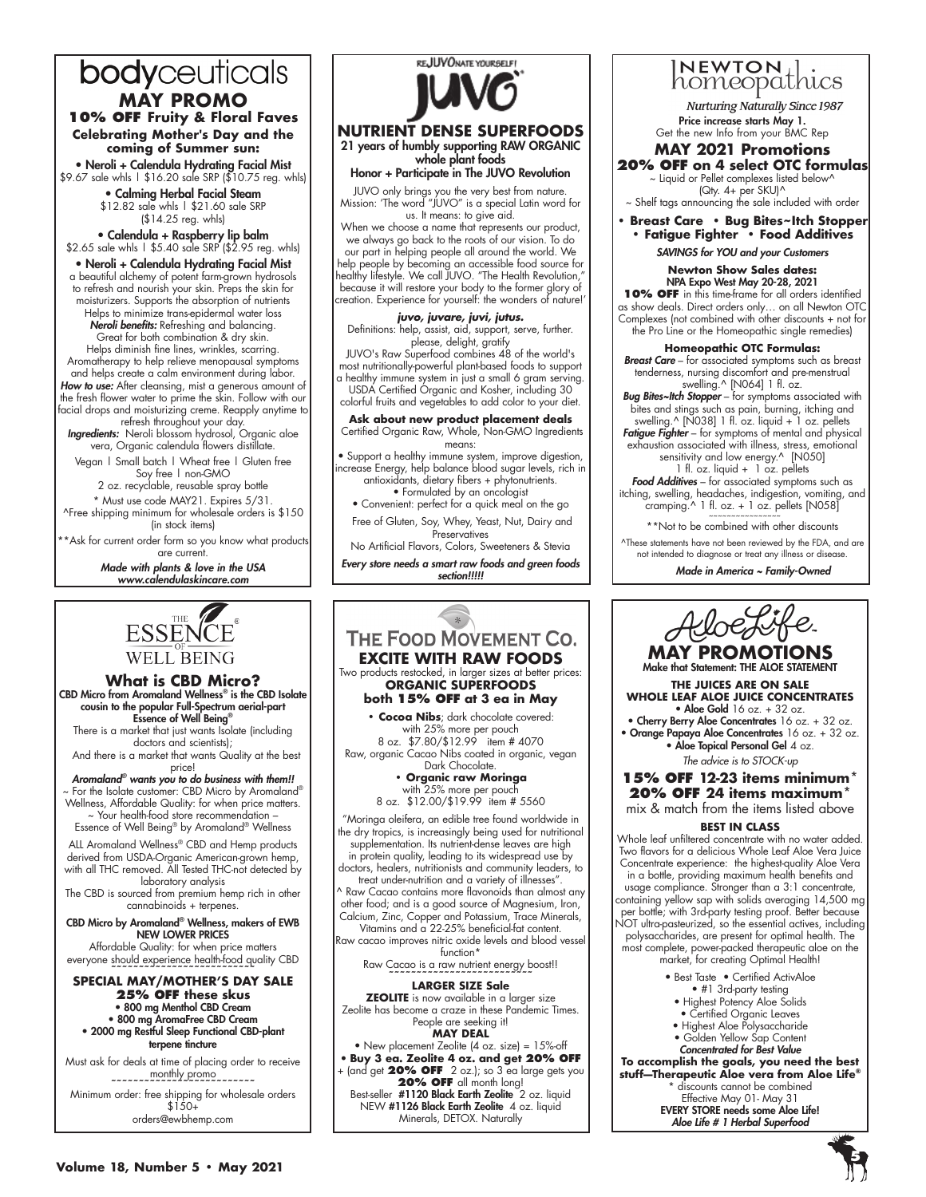### bodyceuticals **MAY PROMO**

**10% OFF Fruity & Floral Faves Celebrating Mother's Day and the coming of Summer sun:**

• Neroli + Calendula Hydrating Facial Mist \$9.67 sale whls | \$16.20 sale SRP (\$10.75 reg. whls)

• Calming Herbal Facial Steam \$12.82 sale whls | \$21.60 sale SRP (\$14.25 reg. whls)

• Calendula + Raspberry lip balm \$2.65 sale whls | \$5.40 sale SRP (\$2.95 reg. whls)

• Neroli + Calendula Hydrating Facial Mist a beautiful alchemy of potent farm-grown hydrosols to refresh and nourish your skin. Preps the skin for moisturizers. Supports the absorption of nutrients Helps to minimize trans-epidermal water loss *Neroli benefits:* Refreshing and balancing. Great for both combination & dry skin. Helps diminish fine lines, wrinkles, scarring. Aromatherapy to help relieve menopausal symptoms and helps create a calm environment during labor.

*How to use:* After cleansing, mist a generous amount of the fresh flower water to prime the skin. Follow with our facial drops and moisturizing creme. Reapply anytime to

refresh throughout your day. *Ingredients:* Neroli blossom hydrosol, Organic aloe vera, Organic calendula flowers distillate. Vegan | Small batch | Wheat free | Gluten free

Soy free | non-GMO 2 oz. recyclable, reusable spray bottle

\* Must use code MAY21. Expires 5/31. ^Free shipping minimum for wholesale orders is \$150 (in stock items)

\*\*Ask for current order form so you know what products are current.

> *Made with plants & love in the USA www.calendulaskincare.com*



**NUTRIENT DENSE SUPERFOODS**  21 years of humbly supporting RAW ORGANIC whole plant foods

Honor + Participate in The JUVO Revolution

JUVO only brings you the very best from nature. Mission: 'The word "JUVO" is a special Latin word for us. It means: to give aid.

When we choose a name that represents our product, we always go back to the roots of our vision. To do our part in helping people all around the world. We help people by becoming an accessible food source for healthy lifestyle. We call JUVO. "The Health Revolution," because it will restore your body to the former glory of creation. Experience for yourself: the wonders of nature!'

*juvo, juvare, juvi, jutus.* Definitions: help, assist, aid, support, serve, further. please, delight, gratify

JUVO's Raw Superfood combines 48 of the world's most nutritionally-powerful plant-based foods to support a healthy immune system in just a small 6 gram serving.

USDA Certified Organic and Kosher, including 30 colorful fruits and vegetables to add color to your diet.

#### **Ask about new product placement deals**<br>
Certified Organic Raw, Whole, Non-GMO Ingredients means:

• Support a healthy immune system, improve digestion, increase Energy, help balance blood sugar levels, rich in antioxidants, dietary fibers + phytonutrients. • Formulated by an oncologist

• Convenient: perfect for a quick meal on the go Free of Gluten, Soy, Whey, Yeast, Nut, Dairy and

**Preservatives** No Artificial Flavors, Colors, Sweeteners & Stevia

*Every store needs a smart raw foods and green foods section!!!!!*

### **ESSENCE WELL BEING**

**What is CBD Micro?** CBD Micro from Aromaland Wellness® is the CBD Isolate cousin to the popular Full-Spectrum aerial-part Essence of Well Being®

There is a market that just wants Isolate (including doctors and scientists);

 And there is a market that wants Quality at the best price!

*Aromaland® wants you to do business with them!!* For the Isolate customer: CBD Micro by Aromaland® Wellness, Affordable Quality: for when price matters. ~ Your health-food store recommendation –

Essence of Well Being® by Aromaland® Wellness

ALL Aromaland Wellness® CBD and Hemp products derived from USDA-Organic American-grown hemp, with all THC removed. All Tested THC-not detected by laboratory analysis

The CBD is sourced from premium hemp rich in other cannabinoids + terpenes.

#### CBD Micro by Aromaland® Wellness, makers of EWB NEW LOWER PRICES

Affordable Quality: for when price matters everyone should experience health-food quality CBD

**~~~~~~~~~~~~~~~~~~~~~~~~~~ SPECIAL MAY/MOTHER'S DAY SALE 25% OFF these skus**  • 800 mg Menthol CBD Cream • 800 mg AromaFree CBD Cream • 2000 mg Restful Sleep Functional CBD-plant terpene tincture

Must ask for deals at time of placing order to receive monthly promo **~~~~~~~~~~~~~~~~~~~~~~~~~~**

Minimum order: free shipping for wholesale orders  $$1.50+$ orders@ewbhemp.com



• New placement Zeolite (4 oz. size) = 15%-off • **Buy 3 ea. Zeolite 4 oz. and get 20% OFF**  + (and get **20% OFF** 2 oz.); so 3 ea large gets you **20% OFF** all month long! Best-seller #1120 Black Earth Zeolite 2 oz. liquid NEW #1126 Black Earth Zeolite 4 oz. liquid

Minerals, DETOX. Naturally



**Nurturing Naturally Since 1987** Price increase starts May 1. Get the new Info from your BMC Rep

#### **MAY 2021 Promotions 20% OFF on 4 select OTC formulas**

~ Liquid or Pellet complexes listed below^ (Qty. 4+ per SKU)^

~ Shelf tags announcing the sale included with order

**• Breast Care • Bug Bites~Itch Stopper • Fatigue Fighter • Food Additives**

*SAVINGS for YOU and your Customers*

**Newton Show Sales dates:** NPA Expo West May 20-28, 2021 **10% OFF** in this time-frame for all orders identified as show deals. Direct orders only… on all Newton OTC Complexes (not combined with other discounts + not for

the Pro Line or the Homeopathic single remedies) **Homeopathic OTC Formulas:** *Breast Care* – for associated symptoms such as breast

tenderness, nursing discomfort and pre-menstrual swelling.^ [N064] 1 fl. oz. *Bug Bites~Itch Stopper* – for symptoms associated with

bites and stings such as pain, burning, itching and swelling.^ [N038] 1 fl. oz. liquid + 1 oz. pellets *Fatigue Fighter* – for symptoms of mental and physical

exhaustion associated with illness, stress, emotional sensitivity and low energy.^ [N050]

1 fl. oz. liquid + 1 oz. pellets Food Additives - for associated symptoms such as itching, swelling, headaches, indigestion, vomiting, and

cramping.^ 1 fl. oz. + 1 oz. pellets [N058] ~~~~~~~~~~~~~~~~ \*\*Not to be combined with other discounts

^These statements have not been reviewed by the FDA, and are not intended to diagnose or treat any illness or disease.

*Made in America ~ Family-Owned*



**MAY PROMOTIONS** Make that Statement: THE ALOE STATEMENT

**THE JUICES ARE ON SALE WHOLE LEAF ALOE JUICE CONCENTRATES**  $\bullet$  Aloe Gold 16 oz. + 32 oz.

• Cherry Berry Aloe Concentrates 16 oz. + 32 oz. • Orange Papaya Aloe Concentrates 16 oz. + 32 oz. • Aloe Topical Personal Gel 4 oz.

*The advice is to STOCK-up*

**15% OFF 12-23 items minimum\* 20% OFF 24 items maximum\*** mix & match from the items listed above

#### **BEST IN CLASS**

Whole leaf unfiltered concentrate with no water added. Two flavors for a delicious Whole Leaf Aloe Vera Juice Concentrate experience: the highest-quality Aloe Vera in a bottle, providing maximum health benefits and usage compliance. Stronger than a 3:1 concentrate, containing yellow sap with solids averaging 14,500 mg per bottle; with 3rd-party testing proof. Better because NOT ultra-pasteurized, so the essential actives, including polysaccharides, are present for optimal health. The most complete, power-packed therapeutic aloe on the market, for creating Optimal Health!

- Best Taste Certified ActivAloe
	- #1 3rd-party testing
- Highest Potency Aloe Solids
- Certified Organic Leaves
- Highest Aloe Polysaccharide • Golden Yellow Sap Content
- *Concentrated for Best Value*

**To accomplish the goals, you need the best stuff—Therapeutic Aloe vera from Aloe Life®**

\* discounts cannot be combined

Effective May 01- May 31 EVERY STORE needs some Aloe Life! *Aloe Life # 1 Herbal Superfood*

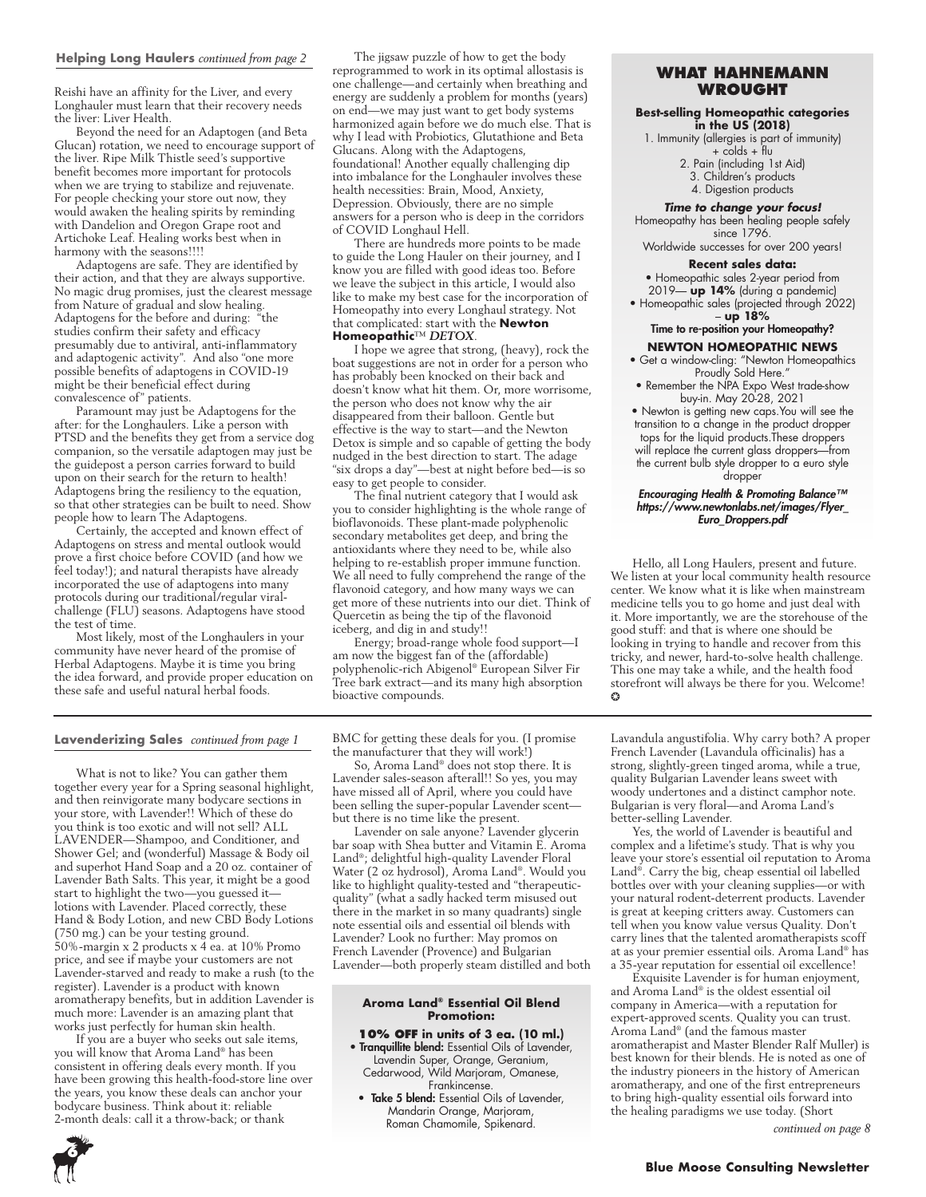#### **Helping Long Haulers** *continued from page 2*

Reishi have an affinity for the Liver, and every Longhauler must learn that their recovery needs the liver: Liver Health.

Beyond the need for an Adaptogen (and Beta Glucan) rotation, we need to encourage support of the liver. Ripe Milk Thistle seed's supportive benefit becomes more important for protocols when we are trying to stabilize and rejuvenate. For people checking your store out now, they would awaken the healing spirits by reminding with Dandelion and Oregon Grape root and Artichoke Leaf. Healing works best when in harmony with the seasons!!!!

Adaptogens are safe. They are identified by their action, and that they are always supportive. No magic drug promises, just the clearest message from Nature of gradual and slow healing. Adaptogens for the before and during: "the studies confirm their safety and efficacy presumably due to antiviral, anti-inflammatory and adaptogenic activity". And also "one more possible benefits of adaptogens in COVID-19 might be their beneficial effect during convalescence of" patients.

Paramount may just be Adaptogens for the after: for the Longhaulers. Like a person with PTSD and the benefits they get from a service dog companion, so the versatile adaptogen may just be the guidepost a person carries forward to build upon on their search for the return to health! Adaptogens bring the resiliency to the equation, so that other strategies can be built to need. Show people how to learn The Adaptogens.

Certainly, the accepted and known effect of Adaptogens on stress and mental outlook would prove a first choice before COVID (and how we feel today!); and natural therapists have already incorporated the use of adaptogens into many protocols during our traditional/regular viralchallenge (FLU) seasons. Adaptogens have stood the test of time.

Most likely, most of the Longhaulers in your community have never heard of the promise of Herbal Adaptogens. Maybe it is time you bring the idea forward, and provide proper education on these safe and useful natural herbal foods.

The jigsaw puzzle of how to get the body reprogrammed to work in its optimal allostasis is one challenge—and certainly when breathing and energy are suddenly a problem for months (years) on end—we may just want to get body systems harmonized again before we do much else. That is why I lead with Probiotics, Glutathione and Beta Glucans. Along with the Adaptogens, foundational! Another equally challenging dip into imbalance for the Longhauler involves these health necessities: Brain, Mood, Anxiety, Depression. Obviously, there are no simple answers for a person who is deep in the corridors of COVID Longhaul Hell.

There are hundreds more points to be made to guide the Long Hauler on their journey, and I know you are filled with good ideas too. Before we leave the subject in this article, I would also like to make my best case for the incorporation of Homeopathy into every Longhaul strategy. Not that complicated: start with the **Newton Homeopathic**™ *DETOX*.

I hope we agree that strong, (heavy), rock the boat suggestions are not in order for a person who has probably been knocked on their back and doesn't know what hit them. Or, more worrisome, the person who does not know why the air disappeared from their balloon. Gentle but effective is the way to start—and the Newton Detox is simple and so capable of getting the body nudged in the best direction to start. The adage "six drops a day"—best at night before bed—is so easy to get people to consider.

The final nutrient category that I would ask you to consider highlighting is the whole range of bioflavonoids. These plant-made polyphenolic secondary metabolites get deep, and bring the antioxidants where they need to be, while also helping to re-establish proper immune function. We all need to fully comprehend the range of the flavonoid category, and how many ways we can get more of these nutrients into our diet. Think of Quercetin as being the tip of the flavonoid iceberg, and dig in and study!!

Energy; broad-range whole food support—I am now the biggest fan of the (affordable) polyphenolic-rich Abigenol® European Silver Fir Tree bark extract—and its many high absorption bioactive compounds.

#### **Lavenderizing Sales** *continued from page 1*

What is not to like? You can gather them together every year for a Spring seasonal highlight, and then reinvigorate many bodycare sections in your store, with Lavender!! Which of these do you think is too exotic and will not sell? ALL LAVENDER—Shampoo, and Conditioner, and Shower Gel; and (wonderful) Massage & Body oil and superhot Hand Soap and a 20 oz. container of Lavender Bath Salts. This year, it might be a good start to highlight the two—you guessed it lotions with Lavender. Placed correctly, these Hand & Body Lotion, and new CBD Body Lotions (750 mg.) can be your testing ground. 50%-margin x 2 products x 4 ea. at 10% Promo price, and see if maybe your customers are not Lavender-starved and ready to make a rush (to the register). Lavender is a product with known aromatherapy benefits, but in addition Lavender is much more: Lavender is an amazing plant that works just perfectly for human skin health.

If you are a buyer who seeks out sale items, you will know that Aroma Land® has been consistent in offering deals every month. If you have been growing this health-food-store line over the years, you know these deals can anchor your bodycare business. Think about it: reliable 2-month deals: call it a throw-back; or thank

BMC for getting these deals for you. (I promise the manufacturer that they will work!)

So, Aroma Land® does not stop there. It is Lavender sales-season afterall!! So yes, you may have missed all of April, where you could have been selling the super-popular Lavender scent but there is no time like the present.

Lavender on sale anyone? Lavender glycerin bar soap with Shea butter and Vitamin E. Aroma Land®; delightful high-quality Lavender Floral Water (2 oz hydrosol), Aroma Land®. Would you like to highlight quality-tested and "therapeuticquality" (what a sadly hacked term misused out there in the market in so many quadrants) single note essential oils and essential oil blends with Lavender? Look no further: May promos on French Lavender (Provence) and Bulgarian Lavender—both properly steam distilled and both

#### **Aroma Land® Essential Oil Blend Promotion:**

**10% OFF in units of 3 ea. (10 ml.)** • Tranquillite blend: Essential Oils of Lavender, Lavendin Super, Orange, Geranium, Cedarwood, Wild Marjoram, Omanese, Frankincense.

• Take 5 blend: Essential Oils of Lavender, Mandarin Orange, Marjoram, Roman Chamomile, Spikenard.

#### **WHAT HAHNEMANN WROUGHT**

#### **Best-selling Homeopathic categories in the US (2018)**

1. Immunity (allergies is part of immunity)

+ colds + flu 2. Pain (including 1st Aid)

3. Children's products

4. Digestion products

#### *Time to change your focus!*

Homeopathy has been healing people safely since 1796.

Worldwide successes for over 200 years!

#### **Recent sales data:**

• Homeopathic sales 2-year period from 2019— **up 14%** (during a pandemic)

• Homeopathic sales (projected through 2022) – **up 18%**

Time to re-position your Homeopathy?

#### **NEWTON HOMEOPATHIC NEWS**

- Get a window-cling: "Newton Homeopathics Proudly Sold Here."
- Remember the NPA Expo West trade-show buy-in. May 20-28, 2021
- Newton is getting new caps.You will see the transition to a change in the product dropper tops for the liquid products.These droppers will replace the current glass droppers—from the current bulb style dropper to a euro style dropper

#### *Encouraging Health & Promoting Balance™ https://www.newtonlabs.net/images/Flyer\_ Euro\_Droppers.pdf*

Hello, all Long Haulers, present and future. We listen at your local community health resource center. We know what it is like when mainstream medicine tells you to go home and just deal with it. More importantly, we are the storehouse of the good stuff: and that is where one should be looking in trying to handle and recover from this tricky, and newer, hard-to-solve health challenge. This one may take a while, and the health food storefront will always be there for you. Welcome! ❂

Lavandula angustifolia. Why carry both? A proper French Lavender (Lavandula officinalis) has a strong, slightly-green tinged aroma, while a true, quality Bulgarian Lavender leans sweet with woody undertones and a distinct camphor note. Bulgarian is very floral—and Aroma Land's better-selling Lavender.

Yes, the world of Lavender is beautiful and complex and a lifetime's study. That is why you leave your store's essential oil reputation to Aroma Land®. Carry the big, cheap essential oil labelled bottles over with your cleaning supplies—or with your natural rodent-deterrent products. Lavender is great at keeping critters away. Customers can tell when you know value versus Quality. Don't carry lines that the talented aromatherapists scoff at as your premier essential oils. Aroma Land® has a 35-year reputation for essential oil excellence!

Exquisite Lavender is for human enjoyment, and Aroma Land® is the oldest essential oil company in America—with a reputation for expert-approved scents. Quality you can trust. Aroma Land® (and the famous master aromatherapist and Master Blender Ralf Muller) is best known for their blends. He is noted as one of the industry pioneers in the history of American aromatherapy, and one of the first entrepreneurs to bring high-quality essential oils forward into the healing paradigms we use today. (Short

*continued on page 8*

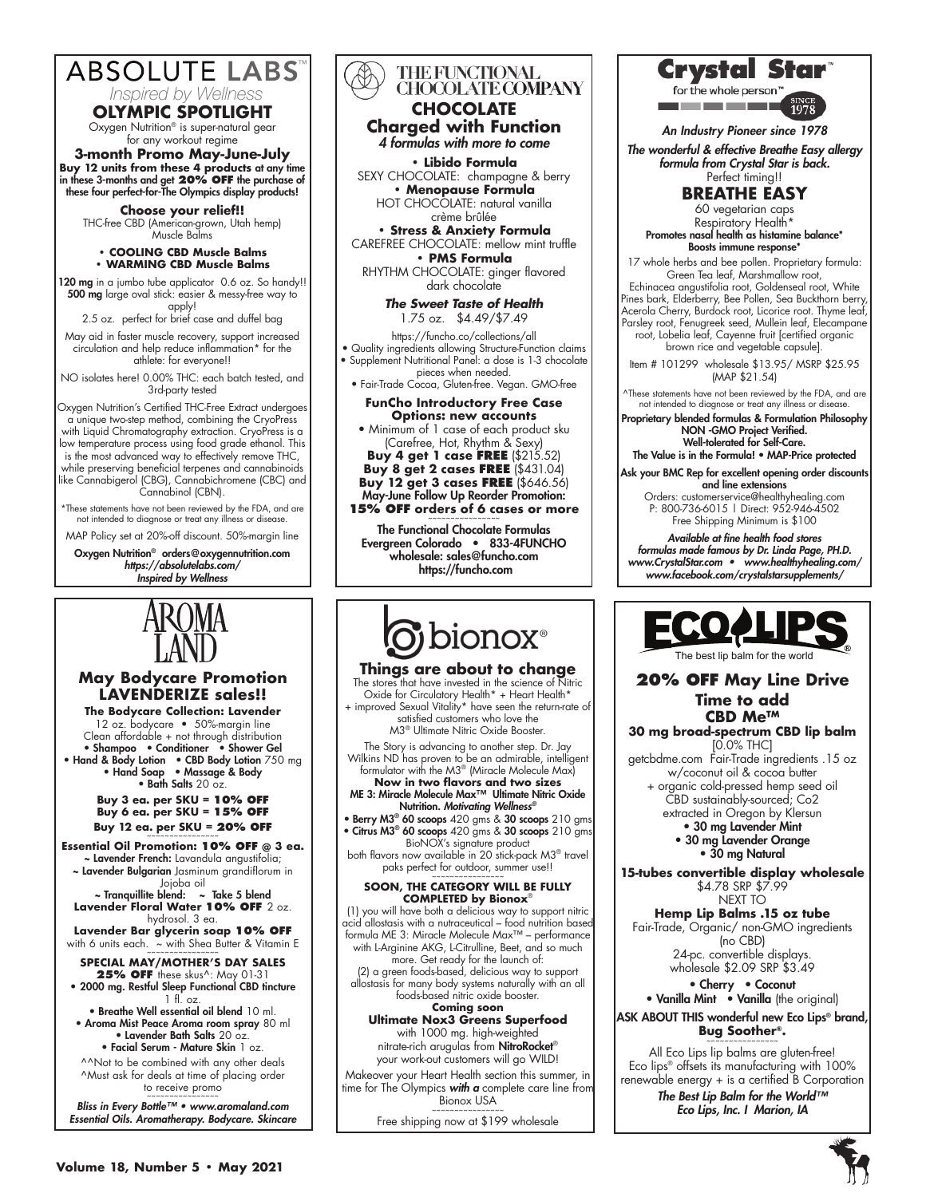### **ABSOLUTE LABS** *Inspired by Wellness*

### **OLYMPIC SPOTLIGHT**

Oxygen Nutrition® is super-natural gear for any workout regime

**3-month Promo May-June-July Buy 12 units from these 4 products** at any time in these 3-months and get **20% OFF** the purchase of these four perfect-for-The Olympics display products!

**Choose your relief!!** THC-free CBD (American-grown, Utah hemp) Muscle Balms

#### **• COOLING CBD Muscle Balms • WARMING CBD Muscle Balms**

120 mg in a jumbo tube applicator 0.6 oz. So handy!! 500 mg large oval stick: easier & messy-free way to apply!

2.5 oz. perfect for brief case and duffel bag

May aid in faster muscle recovery, support increased circulation and help reduce inflammation\* for the athlete: for everyone!!

NO isolates here! 0.00% THC: each batch tested, and 3rd-party tested

Oxygen Nutrition's Certified THC-Free Extract undergoes a unique two-step method, combining the CryoPress with Liquid Chromatography extraction. CryoPress is a low temperature process using food grade ethanol. This is the most advanced way to effectively remove THC, while preserving beneficial terpenes and cannabinoids like Cannabigerol (CBG), Cannabichromene (CBC) and Cannabinol (CBN).

\*These statements have not been reviewed by the FDA, and are not intended to diagnose or treat any illness or disease.

MAP Policy set at 20%-off discount. 50%-margin line

Oxygen Nutrition® orders@oxygennutrition.com *https://absolutelabs.com/ Inspired by Wellness*



### **May Bodycare Promotion LAVENDERIZE sales!!**

**The Bodycare Collection: Lavender** 12 oz. bodycare • 50%-margin line Clean affordable + not through distribution • Shampoo • Conditioner • Shower Gel • Hand & Body Lotion • CBD Body Lotion 750 mg • Hand Soap • Massage & Body

• Bath Salts 20 oz. **Buy 3 ea. per SKU = 10% OFF Buy 6 ea. per SKU = 15% OFF Buy 12 ea. per SKU = 20% OFF** 

**Essential Oil Promotion: 10% OFF @ 3 ea.** ~ Lavender French: Lavandula angustifolia; ~ Lavender Bulgarian Jasminum grandiflorum in Jojoba oil

~ Tranquillite blend: ~ Take 5 blend **Lavender Floral Water 10% OFF** 2 oz. hydrosol. 3 eg.

**Lavender Bar glycerin soap 10% OFF** with 6 units each.  $~\sim$  with Shea Butter & Vitamin E

**SPECIAL MAY/MOTHER'S DAY SALES 25% OFF** these skus^: May 01-31<br>• 2000 mg. Restful Sleep Functional CBD tincture 1 fl. oz. • Breathe Well essential oil blend 10 ml.

• Aroma Mist Peace Aroma room spray 80 ml • Lavender Bath Salts 20 oz. • Facial Serum - Mature Skin 1 oz.

^^Not to be combined with any other deals ^Must ask for deals at time of placing order to receive promo

~~~~~~~~~~~~~~~~ *Bliss in Every Bottle™ • www.aromaland.com Essential Oils. Aromatherapy. Bodycare. Skincare*

### THE FUNCTIONAL<br>CHOCOLATE COMPANY **CHOCOLATE Charged with Function**

*4 formulas with more to come*

**• Libido Formula**  SEXY CHOCOLATE: champagne & berry **• Menopause Formula** HOT CHOCOLATE: natural vanilla

crème brûlée **• Stress & Anxiety Formula**

CAREFREE CHOCOLATE: mellow mint truffle **• PMS Formula** 

RHYTHM CHOCOLATE: ginger flavored dark chocolate

> *The Sweet Taste of Health* 1.75 oz. \$4.49/\$7.49

https://funcho.co/collections/all

• Quality ingredients allowing Structure-Function claims • Supplement Nutritional Panel: a dose is 1-3 chocolate pieces when needed.

• Fair-Trade Cocoa, Gluten-free. Vegan. GMO-free

#### **FunCho Introductory Free Case Options: new accounts**

• Minimum of 1 case of each product sku (Carefree, Hot, Rhythm & Sexy) **Buy 4 get 1 case FREE** (\$215.52) **Buy 8 get 2 cases FREE** (\$431.04) **Buy 12 get 3 cases FREE** (\$646.56) May-June Follow Up Reorder Promotion: **15% OFF** orders of 6 cases or more

The Functional Chocolate Formulas Evergreen Colorado • 833-4FUNCHO wholesale: sales@funcho.com https://funcho.com

# **O** bionox<sup>®</sup>

**Things are about to change** The stores that have invested in the science of Nitric Oxide for Circulatory Health<sup>\*</sup> + Heart Health<sup>\*</sup>

+ improved Sexual Vitality\* have seen the return-rate of satisfied customers who love the M3<sup>®</sup> Ultimate Nitric Oxide Booster.

The Story is advancing to another step. Dr. Jay Wilkins ND has proven to be an admirable, intelligent formulator with the M3® (Miracle Molecule Max)

**Now in two flavors and two sizes** ME 3: Miracle Molecule Max™ Ultimate Nitric Oxide **Nutrition. Motivating Wellness®** 

• Berry M3® 60 scoops 420 gms & 30 scoops 210 gms • Citrus M3<sup>®</sup> 60 scoops 420 gms & 30 scoops 210 gms

both flavors now available in 20 stick-pack M3® travel paks perfect for outdoor, summer use!!

acid allostasis with a nutraceutical – food nutrition based formula ME 3: Miracle Molecule Max™ – performance with L-Arginine AKG, L-Citrulline, Beet, and so much more. Get ready for the launch of:

(2) a green foods-based, delicious way to support allostasis for many body systems naturally with an all foods-based nitric oxide booster.

with 1000 mg. high-weighted nitrate-rich arugulas from NitroRocket® your work-out customers will go WILD! Makeover your Heart Health section this summer, in

Free shipping now at \$199 wholesale



<u>and so the most of the </u>

*An Industry Pioneer since 1978*

*The wonderful & effective Breathe Easy allergy formula from Crystal Star is back.*  Perfect timing!!

### **BREATHE EASY**

60 vegetarian caps Respiratory Health\* Promotes nasal health as histamine balance\* Boosts immune response<sup>\*</sup>

17 whole herbs and bee pollen. Proprietary formula: Green Tea leaf, Marshmallow root,

Echinacea angustifolia root, Goldenseal root, White Pines bark, Elderberry, Bee Pollen, Sea Buckthorn berry, Acerola Cherry, Burdock root, Licorice root. Thyme leaf, Parsley root, Fenugreek seed, Mullein leaf, Elecampane root, Lobelia leaf, Cayenne fruit [certified organic

brown rice and vegetable capsule].

Item # 101299 wholesale \$13.95/ MSRP \$25.95 (MAP \$21.54)

^These statements have not been reviewed by the FDA, and are not intended to diagnose or treat any illness or disease.

Proprietary blended formulas & Formulation Philosophy NON -GMO Project Verified. Well-tolerated for Self-Care.

The Value is in the Formula! • MAP-Price protected Ask your BMC Rep for excellent opening order discounts

and line extensions Orders: customerservice@healthyhealing.com P: 800-736-6015 | Direct: 952-946-4502

Free Shipping Minimum is \$100 *Available at fine health food stores formulas made famous by Dr. Linda Page, PH.D. www.CrystalStar.com • www.healthyhealing.com/ www.facebook.com/crystalstarsupplements/*



The best lip balm for the world

#### **20% OFF May Line Drive Time to add CBD Me™**

**30 mg broad-spectrum CBD lip balm**  [0.0% THC] getcbdme.com Fair-Trade ingredients .15 oz w/coconut oil & cocoa butter + organic cold-pressed hemp seed oil CBD sustainably-sourced; Co2 extracted in Oregon by Klersun • 30 mg Lavender Mint

• 30 mg Lavender Orange • 30 mg Natural

**15-tubes convertible display wholesale**  \$4.78 SRP \$7.99

NEXT TO **Hemp Lip Balms .15 oz tube** Fair-Trade, Organic/ non-GMO ingredients (no CBD) 24-pc. convertible displays. wholesale \$2.09 SRP \$3.49

• Cherry • Coconut • Vanilla Mint • Vanilla (the original)

ASK ABOUT THIS wonderful new Eco Lips® brand, **Bug Soother®.** 

All Eco Lips lip balms are gluten-free! Eco lips® offsets its manufacturing with 100% renewable energy + is a certified B Corporation

*The Best Lip Balm for the World™ Eco Lips, Inc. I Marion, IA*



BioNOX's signature product

**SOON, THE CATEGORY WILL BE FULLY** 

**COMPLETED by Bionox**® (1) you will have both a delicious way to support nitric

**Coming soon**

**Ultimate Nox3 Greens Superfood**

time for The Olympics *with a* complete care line from Bionox USA ~~~~~~~~~~~~~~~~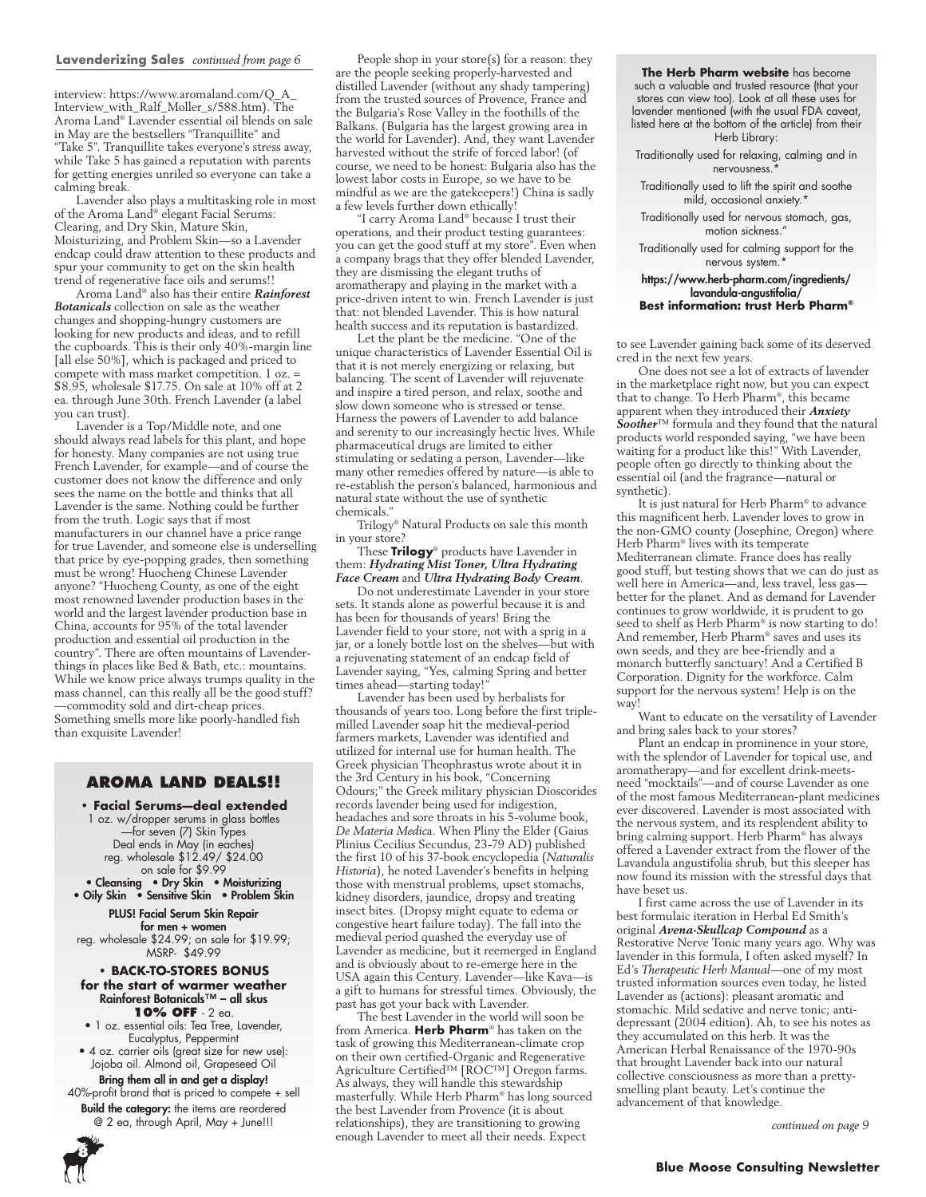#### **Lavenderizing Sales** *continued from page 6*

interview: https://www.aromaland.com/Q\_A\_ Interview\_with\_Ralf\_Moller\_s/588.htm). The Aroma Land® Lavender essential oil blends on sale in May are the bestsellers "Tranquillite" and "Take 5". Tranquillite takes everyone's stress away, while Take 5 has gained a reputation with parents for getting energies unriled so everyone can take a calming break.

Lavender also plays a multitasking role in most of the Aroma Land® elegant Facial Serums: Clearing, and Dry Skin, Mature Skin, Moisturizing, and Problem Skin—so a Lavender endcap could draw attention to these products and spur your community to get on the skin health trend of regenerative face oils and serums!!

Aroma Land® also has their entire *Rainforest Botanicals* collection on sale as the weather changes and shopping-hungry customers are looking for new products and ideas, and to refill the cupboards. This is their only 40%-margin line [all else 50%], which is packaged and priced to compete with mass market competition. 1 oz. = \$8.95, wholesale \$17.75. On sale at 10% off at 2 ea. through June 30th. French Lavender (a label you can trust).

Lavender is a Top/Middle note, and one should always read labels for this plant, and hope for honesty. Many companies are not using true French Lavender, for example—and of course the customer does not know the difference and only sees the name on the bottle and thinks that all Lavender is the same. Nothing could be further from the truth. Logic says that if most manufacturers in our channel have a price range for true Lavender, and someone else is underselling that price by eye-popping grades, then something must be wrong! Huocheng Chinese Lavender anyone? "Huocheng County, as one of the eight most renowned lavender production bases in the world and the largest lavender production base in China, accounts for 95% of the total lavender production and essential oil production in the country". There are often mountains of Lavenderthings in places like Bed & Bath, etc.: mountains. While we know price always trumps quality in the mass channel, can this really all be the good stuff? —commodity sold and dirt-cheap prices. Something smells more like poorly-handled fish than exquisite Lavender!

#### **AROMA LAND DEALS!!**

**• Facial Serums—deal extended** 1 oz. w/dropper serums in glass bottles —for seven (7) Skin Types Deal ends in May (in eaches) reg. wholesale \$12.49/ \$24.00 on sale for \$9.99

• Cleansing • Dry Skin • Moisturizing • Oily Skin • Sensitive Skin • Problem Skin

PLUS! Facial Serum Skin Repair for men + women reg. wholesale \$24.99; on sale for \$19.99; MSRP- \$49.99

**• BACK-TO-STORES BONUS for the start of warmer weather** Rainforest Botanicals™ – all skus **10% OFF** - 2 ea.

• 1 oz. essential oils: Tea Tree, Lavender, Eucalyptus, Peppermint

• 4 oz. carrier oils (great size for new use): Jojoba oil. Almond oil, Grapeseed Oil

Bring them all in and get a display! 40%-profit brand that is priced to compete + sell Build the category: the items are reordered @ 2 ea, through April, May + June!!!

**8**

People shop in your store(s) for a reason: they are the people seeking properly-harvested and distilled Lavender (without any shady tampering) from the trusted sources of Provence, France and the Bulgaria's Rose Valley in the foothills of the Balkans. (Bulgaria has the largest growing area in the world for Lavender). And, they want Lavender harvested without the strife of forced labor! (of course, we need to be honest: Bulgaria also has the lowest labor costs in Europe, so we have to be mindful as we are the gatekeepers!) China is sadly a few levels further down ethically!

"I carry Aroma Land® because I trust their operations, and their product testing guarantees: you can get the good stuff at my store". Even when a company brags that they offer blended Lavender, they are dismissing the elegant truths of aromatherapy and playing in the market with a price-driven intent to win. French Lavender is just that: not blended Lavender. This is how natural health success and its reputation is bastardized.

Let the plant be the medicine. "One of the unique characteristics of Lavender Essential Oil is that it is not merely energizing or relaxing, but balancing. The scent of Lavender will rejuvenate and inspire a tired person, and relax, soothe and slow down someone who is stressed or tense. Harness the powers of Lavender to add balance and serenity to our increasingly hectic lives. While pharmaceutical drugs are limited to either stimulating or sedating a person, Lavender—like many other remedies offered by nature—is able to re-establish the person's balanced, harmonious and natural state without the use of synthetic chemicals."

Trilogy® Natural Products on sale this month in your store?

These **Trilogy**® products have Lavender in them: *Hydrating Mist Toner, Ultra Hydrating Face Cream* and *Ultra Hydrating Body Cream*.

Do not underestimate Lavender in your store sets. It stands alone as powerful because it is and has been for thousands of years! Bring the Lavender field to your store, not with a sprig in a jar, or a lonely bottle lost on the shelves—but with a rejuvenating statement of an endcap field of Lavender saying, "Yes, calming Spring and better times ahead—starting today!"

Lavender has been used by herbalists for thousands of years too. Long before the first triplemilled Lavender soap hit the medieval-period farmers markets, Lavender was identified and utilized for internal use for human health. The Greek physician Theophrastus wrote about it in the 3rd Century in his book, "Concerning Odours;" the Greek military physician Dioscorides records lavender being used for indigestion, headaches and sore throats in his 5-volume book, *De Materia Medic*a. When Pliny the Elder (Gaius Plinius Cecilius Secundus, 23-79 AD) published the first 10 of his 37-book encyclopedia (*Naturalis Historia*), he noted Lavender's benefits in helping those with menstrual problems, upset stomachs, kidney disorders, jaundice, dropsy and treating insect bites. (Dropsy might equate to edema or congestive heart failure today). The fall into the medieval period quashed the everyday use of Lavender as medicine, but it reemerged in England and is obviously about to re-emerge here in the USA again this Century. Lavender—like Kava—is a gift to humans for stressful times. Obviously, the past has got your back with Lavender.

The best Lavender in the world will soon be from America. **Herb Pharm**® has taken on the task of growing this Mediterranean-climate crop on their own certified-Organic and Regenerative Agriculture Certified™ [ROC™] Oregon farms. As always, they will handle this stewardship masterfully. While Herb Pharm® has long sourced the best Lavender from Provence (it is about relationships), they are transitioning to growing enough Lavender to meet all their needs. Expect

**The Herb Pharm website** has become such a valuable and trusted resource (that your stores can view too). Look at all these uses for lavender mentioned (with the usual FDA caveat, listed here at the bottom of the article) from their Herb Library:

Traditionally used for relaxing, calming and in nervousness.

Traditionally used to lift the spirit and soothe mild, occasional anxiety.\*

Traditionally used for nervous stomach, gas, motion sickness."

Traditionally used for calming support for the nervous system.

#### https://www.herb-pharm.com/ingredients/ lavandula-angustifolia/ **Best information: trust Herb Pharm®**

to see Lavender gaining back some of its deserved cred in the next few years.

One does not see a lot of extracts of lavender in the marketplace right now, but you can expect that to change. To Herb Pharm®, this became apparent when they introduced their *Anxiety Soother*™ formula and they found that the natural products world responded saying, "we have been waiting for a product like this!" With Lavender, people often go directly to thinking about the essential oil (and the fragrance—natural or synthetic).

It is just natural for Herb Pharm® to advance this magnificent herb. Lavender loves to grow in the non-GMO county (Josephine, Oregon) where Herb Pharm® lives with its temperate Mediterranean climate. France does has really good stuff, but testing shows that we can do just as well here in America—and, less travel, less gas better for the planet. And as demand for Lavender continues to grow worldwide, it is prudent to go seed to shelf as Herb Pharm® is now starting to do! And remember, Herb Pharm® saves and uses its own seeds, and they are bee-friendly and a monarch butterfly sanctuary! And a Certified B Corporation. Dignity for the workforce. Calm support for the nervous system! Help is on the way<sup>!</sup>

Want to educate on the versatility of Lavender and bring sales back to your stores?

Plant an endcap in prominence in your store, with the splendor of Lavender for topical use, and aromatherapy—and for excellent drink-meetsneed "mocktails"—and of course Lavender as one of the most famous Mediterranean-plant medicines ever discovered. Lavender is most associated with the nervous system, and its resplendent ability to bring calming support. Herb Pharm® has always offered a Lavender extract from the flower of the Lavandula angustifolia shrub, but this sleeper has now found its mission with the stressful days that have beset us.

I first came across the use of Lavender in its best formulaic iteration in Herbal Ed Smith's original *Avena-Skullcap Compound* as a Restorative Nerve Tonic many years ago. Why was lavender in this formula, I often asked myself? In Ed's *Therapeutic Herb Manual*—one of my most trusted information sources even today, he listed Lavender as (actions): pleasant aromatic and stomachic. Mild sedative and nerve tonic; antidepressant (2004 edition). Ah, to see his notes as they accumulated on this herb. It was the American Herbal Renaissance of the 1970-90s that brought Lavender back into our natural collective consciousness as more than a prettysmelling plant beauty. Let's continue the advancement of that knowledge.

*continued on page 9*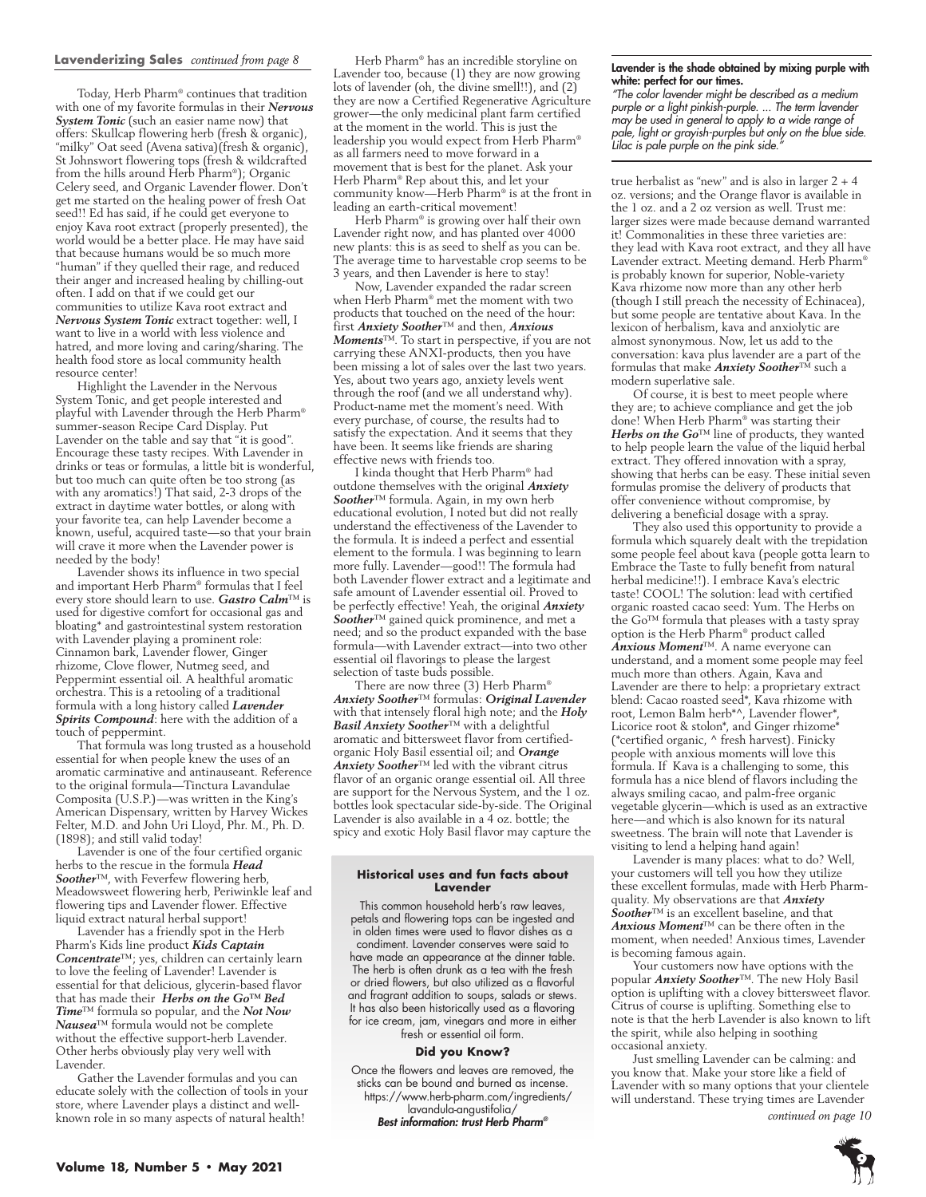#### **Lavenderizing Sales** *continued from page 8*

Today, Herb Pharm® continues that tradition with one of my favorite formulas in their *Nervous System Tonic* (such an easier name now) that offers: Skullcap flowering herb (fresh & organic), "milky" Oat seed (Avena sativa)(fresh & organic), St Johnswort flowering tops (fresh & wildcrafted from the hills around Herb Pharm®); Organic Celery seed, and Organic Lavender flower. Don't get me started on the healing power of fresh Oat seed!! Ed has said, if he could get everyone to enjoy Kava root extract (properly presented), the world would be a better place. He may have said that because humans would be so much more "human" if they quelled their rage, and reduced their anger and increased healing by chilling-out often. I add on that if we could get our communities to utilize Kava root extract and *Nervous System Tonic* extract together: well, I want to live in a world with less violence and hatred, and more loving and caring/sharing. The health food store as local community health resource center!

Highlight the Lavender in the Nervous System Tonic, and get people interested and playful with Lavender through the Herb Pharm® summer-season Recipe Card Display. Put Lavender on the table and say that "it is good". Encourage these tasty recipes. With Lavender in drinks or teas or formulas, a little bit is wonderful, but too much can quite often be too strong (as with any aromatics!) That said, 2-3 drops of the extract in daytime water bottles, or along with your favorite tea, can help Lavender become a known, useful, acquired taste—so that your brain will crave it more when the Lavender power is needed by the body!

Lavender shows its influence in two special and important Herb Pharm® formulas that I feel every store should learn to use. *Gastro Calm*™ is used for digestive comfort for occasional gas and bloating\* and gastrointestinal system restoration with Lavender playing a prominent role: Cinnamon bark, Lavender flower, Ginger rhizome, Clove flower, Nutmeg seed, and Peppermint essential oil. A healthful aromatic orchestra. This is a retooling of a traditional formula with a long history called *Lavender Spirits Compound*: here with the addition of a touch of peppermint.

That formula was long trusted as a household essential for when people knew the uses of an aromatic carminative and antinauseant. Reference to the original formula—Tinctura Lavandulae Composita (U.S.P.)—was written in the King's American Dispensary, written by Harvey Wickes Felter, M.D. and John Uri Lloyd, Phr. M., Ph. D. (1898); and still valid today!

Lavender is one of the four certified organic herbs to the rescue in the formula *Head Soother*™, with Feverfew flowering herb, Meadowsweet flowering herb, Periwinkle leaf and flowering tips and Lavender flower. Effective liquid extract natural herbal support!

Lavender has a friendly spot in the Herb Pharm's Kids line product *Kids Captain Concentrate*™; yes, children can certainly learn to love the feeling of Lavender! Lavender is essential for that delicious, glycerin-based flavor that has made their *Herbs on the Go™ Bed Time*™ formula so popular, and the *Not Now Nausea*™ formula would not be complete without the effective support-herb Lavender. Other herbs obviously play very well with Lavender.

Gather the Lavender formulas and you can educate solely with the collection of tools in your store, where Lavender plays a distinct and wellknown role in so many aspects of natural health!

Herb Pharm® has an incredible storyline on Lavender too, because (1) they are now growing lots of lavender (oh, the divine smell!!), and (2) they are now a Certified Regenerative Agriculture grower—the only medicinal plant farm certified at the moment in the world. This is just the leadership you would expect from Herb Pharm® as all farmers need to move forward in a movement that is best for the planet. Ask your Herb Pharm® Rep about this, and let your community know—Herb Pharm® is at the front in leading an earth-critical movement!

Herb Pharm® is growing over half their own Lavender right now, and has planted over 4000 new plants: this is as seed to shelf as you can be. The average time to harvestable crop seems to be 3 years, and then Lavender is here to stay!

Now, Lavender expanded the radar screen when Herb Pharm® met the moment with two products that touched on the need of the hour: first *Anxiety Soother*™ and then, *Anxious Moments*™. To start in perspective, if you are not carrying these ANXI-products, then you have been missing a lot of sales over the last two years. Yes, about two years ago, anxiety levels went through the roof (and we all understand why). Product-name met the moment's need. With every purchase, of course, the results had to satisfy the expectation. And it seems that they have been. It seems like friends are sharing effective news with friends too.

I kinda thought that Herb Pharm® had outdone themselves with the original *Anxiety Soother*™ formula. Again, in my own herb educational evolution, I noted but did not really understand the effectiveness of the Lavender to the formula. It is indeed a perfect and essential element to the formula. I was beginning to learn more fully. Lavender—good!! The formula had both Lavender flower extract and a legitimate and safe amount of Lavender essential oil. Proved to be perfectly effective! Yeah, the original *Anxiety Soother*™ gained quick prominence, and met a need; and so the product expanded with the base formula—with Lavender extract—into two other essential oil flavorings to please the largest selection of taste buds possible.

There are now three (3) Herb Pharm® *Anxiety Soother*™ formulas: *Original Lavender* with that intensely floral high note; and the *Holy Basil Anxiety Soother*™ with a delightful aromatic and bittersweet flavor from certifiedorganic Holy Basil essential oil; and *Orange Anxiety Soother*™ led with the vibrant citrus flavor of an organic orange essential oil. All three are support for the Nervous System, and the 1 oz. bottles look spectacular side-by-side. The Original Lavender is also available in a 4 oz. bottle; the spicy and exotic Holy Basil flavor may capture the

#### **Historical uses and fun facts about Lavender**

This common household herb's raw leaves, petals and flowering tops can be ingested and in olden times were used to flavor dishes as a condiment. Lavender conserves were said to have made an appearance at the dinner table. The herb is often drunk as a tea with the fresh or dried flowers, but also utilized as a flavorful and fragrant addition to soups, salads or stews. It has also been historically used as a flavoring for ice cream, jam, vinegars and more in either fresh or essential oil form.

#### **Did you Know?**

Once the flowers and leaves are removed, the sticks can be bound and burned as incense. https://www.herb-pharm.com/ingredients/ lavandula-angustifolia/ *Best information: trust Herb Pharm®*

#### Lavender is the shade obtained by mixing purple with white: perfect for our times.

*"The color lavender might be described as a medium purple or a light pinkish-purple. ... The term lavender may be used in general to apply to a wide range of pale, light or grayish-purples but only on the blue side. Lilac is pale purple on the pink side."*

true herbalist as "new" and is also in larger 2 + 4 oz. versions; and the Orange flavor is available in the 1 oz. and a 2 oz version as well. Trust me: larger sizes were made because demand warranted it! Commonalities in these three varieties are: they lead with Kava root extract, and they all have Lavender extract. Meeting demand. Herb Pharm® is probably known for superior, Noble-variety Kava rhizome now more than any other herb (though I still preach the necessity of Echinacea), but some people are tentative about Kava. In the lexicon of herbalism, kava and anxiolytic are almost synonymous. Now, let us add to the conversation: kava plus lavender are a part of the formulas that make *Anxiety Soother*™ such a modern superlative sale.

Of course, it is best to meet people where they are; to achieve compliance and get the job done! When Herb Pharm® was starting their *Herbs on the Go*™ line of products, they wanted to help people learn the value of the liquid herbal extract. They offered innovation with a spray, showing that herbs can be easy. These initial seven formulas promise the delivery of products that offer convenience without compromise, by delivering a beneficial dosage with a spray.

They also used this opportunity to provide a formula which squarely dealt with the trepidation some people feel about kava (people gotta learn to Embrace the Taste to fully benefit from natural herbal medicine!!). I embrace Kava's electric taste! COOL! The solution: lead with certified organic roasted cacao seed: Yum. The Herbs on the Go™ formula that pleases with a tasty spray option is the Herb Pharm® product called *Anxious Moment*™. A name everyone can understand, and a moment some people may feel much more than others. Again, Kava and Lavender are there to help: a proprietary extract blend: Cacao roasted seed\*, Kava rhizome with root, Lemon Balm herb\*^, Lavender flower\*, Licorice root & stolon\*, and Ginger rhizome\* (\*certified organic, ^ fresh harvest). Finicky people with anxious moments will love this formula. If Kava is a challenging to some, this formula has a nice blend of flavors including the always smiling cacao, and palm-free organic vegetable glycerin—which is used as an extractive here—and which is also known for its natural sweetness. The brain will note that Lavender is visiting to lend a helping hand again!

Lavender is many places: what to do? Well, your customers will tell you how they utilize these excellent formulas, made with Herb Pharmquality. My observations are that *Anxiety Soother*™ is an excellent baseline, and that *Anxious Moment*™ can be there often in the moment, when needed! Anxious times, Lavender is becoming famous again.

Your customers now have options with the popular *Anxiety Soother*™. The new Holy Basil option is uplifting with a clovey bittersweet flavor. Citrus of course is uplifting. Something else to note is that the herb Lavender is also known to lift the spirit, while also helping in soothing occasional anxiety.

Just smelling Lavender can be calming: and you know that. Make your store like a field of Lavender with so many options that your clientele will understand. These trying times are Lavender

*continued on page 10*